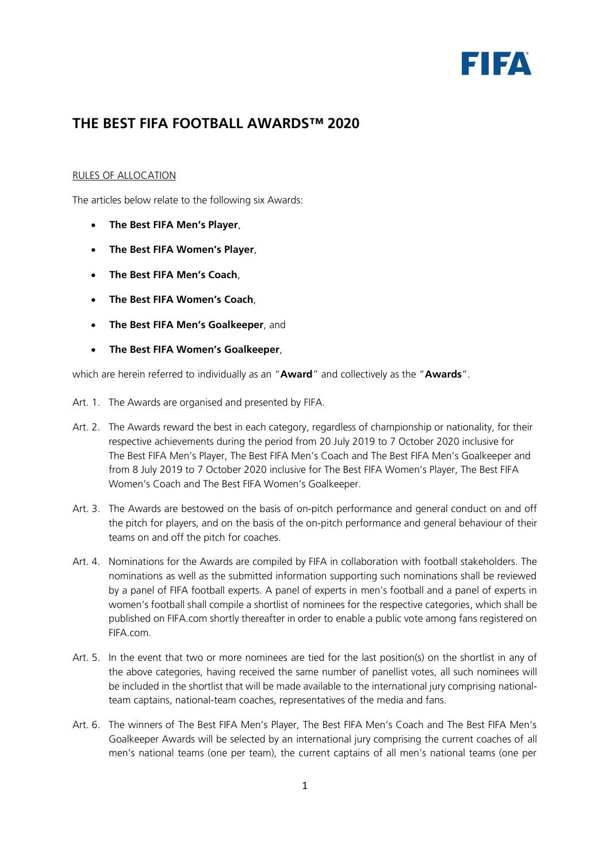

## **THE BEST FIFA FOOTBALL AWARDS™ 2020**

## RULES OF ALLOCATION

The articles below relate to the following six Awards:

- **The Best FIFA Men's Player**,
- **The Best FIFA Women's Player**,
- **The Best FIFA Men's Coach**,
- **The Best FIFA Women's Coach**,
- **The Best FIFA Men's Goalkeeper**, and
- **The Best FIFA Women's Goalkeeper**,

which are herein referred to individually as an "**Award**" and collectively as the "**Awards**".

- Art. 1. The Awards are organised and presented by FIFA.
- Art. 2. The Awards reward the best in each category, regardless of championship or nationality, for their respective achievements during the period from 20 July 2019 to 7 October 2020 inclusive for The Best FIFA Men's Player, The Best FIFA Men's Coach and The Best FIFA Men's Goalkeeper and from 8 July 2019 to 7 October 2020 inclusive for The Best FIFA Women's Player, The Best FIFA Women's Coach and The Best FIFA Women's Goalkeeper.
- Art. 3. The Awards are bestowed on the basis of on-pitch performance and general conduct on and off the pitch for players, and on the basis of the on-pitch performance and general behaviour of their teams on and off the pitch for coaches.
- Art. 4. Nominations for the Awards are compiled by FIFA in collaboration with football stakeholders. The nominations as well as the submitted information supporting such nominations shall be reviewed by a panel of FIFA football experts. A panel of experts in men's football and a panel of experts in women's football shall compile a shortlist of nominees for the respective categories, which shall be published on FIFA.com shortly thereafter in order to enable a public vote among fans registered on FIFA.com.
- Art. 5. In the event that two or more nominees are tied for the last position(s) on the shortlist in any of the above categories, having received the same number of panellist votes, all such nominees will be included in the shortlist that will be made available to the international jury comprising nationalteam captains, national-team coaches, representatives of the media and fans.
- Art. 6. The winners of The Best FIFA Men's Player, The Best FIFA Men's Coach and The Best FIFA Men's Goalkeeper Awards will be selected by an international jury comprising the current coaches of all men's national teams (one per team), the current captains of all men's national teams (one per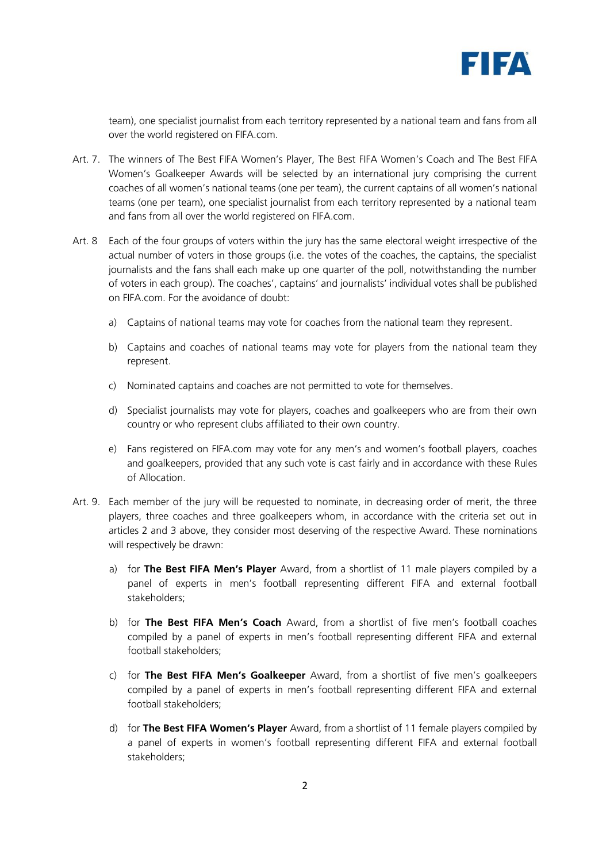

team), one specialist journalist from each territory represented by a national team and fans from all over the world registered on FIFA.com.

- Art. 7. The winners of The Best FIFA Women's Player, The Best FIFA Women's Coach and The Best FIFA Women's Goalkeeper Awards will be selected by an international jury comprising the current coaches of all women's national teams (one per team), the current captains of all women's national teams (one per team), one specialist journalist from each territory represented by a national team and fans from all over the world registered on FIFA.com.
- Art. 8 Each of the four groups of voters within the jury has the same electoral weight irrespective of the actual number of voters in those groups (i.e. the votes of the coaches, the captains, the specialist journalists and the fans shall each make up one quarter of the poll, notwithstanding the number of voters in each group). The coaches', captains' and journalists' individual votes shall be published on FIFA.com. For the avoidance of doubt:
	- a) Captains of national teams may vote for coaches from the national team they represent.
	- b) Captains and coaches of national teams may vote for players from the national team they represent.
	- c) Nominated captains and coaches are not permitted to vote for themselves.
	- d) Specialist journalists may vote for players, coaches and goalkeepers who are from their own country or who represent clubs affiliated to their own country.
	- e) Fans registered on FIFA.com may vote for any men's and women's football players, coaches and goalkeepers, provided that any such vote is cast fairly and in accordance with these Rules of Allocation.
- Art. 9. Each member of the jury will be requested to nominate, in decreasing order of merit, the three players, three coaches and three goalkeepers whom, in accordance with the criteria set out in articles 2 and 3 above, they consider most deserving of the respective Award. These nominations will respectively be drawn:
	- a) for **The Best FIFA Men's Player** Award, from a shortlist of 11 male players compiled by a panel of experts in men's football representing different FIFA and external football stakeholders;
	- b) for **The Best FIFA Men's Coach** Award, from a shortlist of five men's football coaches compiled by a panel of experts in men's football representing different FIFA and external football stakeholders;
	- c) for **The Best FIFA Men's Goalkeeper** Award, from a shortlist of five men's goalkeepers compiled by a panel of experts in men's football representing different FIFA and external football stakeholders;
	- d) for **The Best FIFA Women's Player** Award, from a shortlist of 11 female players compiled by a panel of experts in women's football representing different FIFA and external football stakeholders;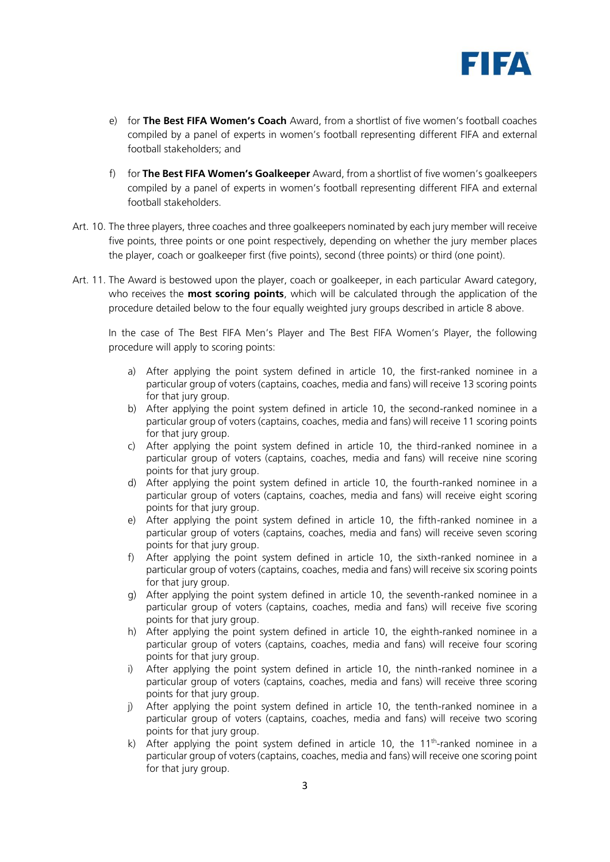

- e) for **The Best FIFA Women's Coach** Award, from a shortlist of five women's football coaches compiled by a panel of experts in women's football representing different FIFA and external football stakeholders; and
- f) for **The Best FIFA Women's Goalkeeper** Award, from a shortlist of five women's goalkeepers compiled by a panel of experts in women's football representing different FIFA and external football stakeholders.
- Art. 10. The three players, three coaches and three goalkeepers nominated by each jury member will receive five points, three points or one point respectively, depending on whether the jury member places the player, coach or goalkeeper first (five points), second (three points) or third (one point).
- Art. 11. The Award is bestowed upon the player, coach or goalkeeper, in each particular Award category, who receives the **most scoring points**, which will be calculated through the application of the procedure detailed below to the four equally weighted jury groups described in article 8 above.

In the case of The Best FIFA Men's Player and The Best FIFA Women's Player, the following procedure will apply to scoring points:

- a) After applying the point system defined in article 10, the first-ranked nominee in a particular group of voters (captains, coaches, media and fans) will receive 13 scoring points for that jury group.
- b) After applying the point system defined in article 10, the second-ranked nominee in a particular group of voters (captains, coaches, media and fans) will receive 11 scoring points for that jury group.
- c) After applying the point system defined in article 10, the third-ranked nominee in a particular group of voters (captains, coaches, media and fans) will receive nine scoring points for that jury group.
- d) After applying the point system defined in article 10, the fourth-ranked nominee in a particular group of voters (captains, coaches, media and fans) will receive eight scoring points for that jury group.
- e) After applying the point system defined in article 10, the fifth-ranked nominee in a particular group of voters (captains, coaches, media and fans) will receive seven scoring points for that jury group.
- f) After applying the point system defined in article 10, the sixth-ranked nominee in a particular group of voters (captains, coaches, media and fans) will receive six scoring points for that jury group.
- g) After applying the point system defined in article 10, the seventh-ranked nominee in a particular group of voters (captains, coaches, media and fans) will receive five scoring points for that jury group.
- h) After applying the point system defined in article 10, the eighth-ranked nominee in a particular group of voters (captains, coaches, media and fans) will receive four scoring points for that jury group.
- i) After applying the point system defined in article 10, the ninth-ranked nominee in a particular group of voters (captains, coaches, media and fans) will receive three scoring points for that jury group.
- j) After applying the point system defined in article 10, the tenth-ranked nominee in a particular group of voters (captains, coaches, media and fans) will receive two scoring points for that jury group.
- k) After applying the point system defined in article 10, the  $11<sup>th</sup>$ -ranked nominee in a particular group of voters (captains, coaches, media and fans) will receive one scoring point for that jury group.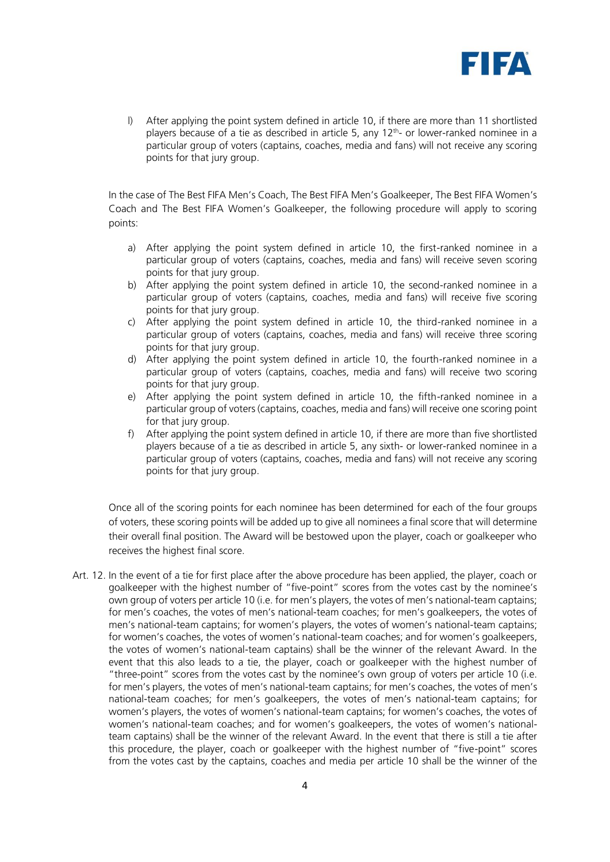

l) After applying the point system defined in article 10, if there are more than 11 shortlisted players because of a tie as described in article 5, any 12<sup>th</sup>- or lower-ranked nominee in a particular group of voters (captains, coaches, media and fans) will not receive any scoring points for that jury group.

In the case of The Best FIFA Men's Coach, The Best FIFA Men's Goalkeeper, The Best FIFA Women's Coach and The Best FIFA Women's Goalkeeper, the following procedure will apply to scoring points:

- a) After applying the point system defined in article 10, the first-ranked nominee in a particular group of voters (captains, coaches, media and fans) will receive seven scoring points for that jury group.
- b) After applying the point system defined in article 10, the second-ranked nominee in a particular group of voters (captains, coaches, media and fans) will receive five scoring points for that jury group.
- c) After applying the point system defined in article 10, the third-ranked nominee in a particular group of voters (captains, coaches, media and fans) will receive three scoring points for that jury group.
- d) After applying the point system defined in article 10, the fourth-ranked nominee in a particular group of voters (captains, coaches, media and fans) will receive two scoring points for that jury group.
- e) After applying the point system defined in article 10, the fifth-ranked nominee in a particular group of voters (captains, coaches, media and fans) will receive one scoring point for that jury group.
- f) After applying the point system defined in article 10, if there are more than five shortlisted players because of a tie as described in article 5, any sixth- or lower-ranked nominee in a particular group of voters (captains, coaches, media and fans) will not receive any scoring points for that jury group.

Once all of the scoring points for each nominee has been determined for each of the four groups of voters, these scoring points will be added up to give all nominees a final score that will determine their overall final position. The Award will be bestowed upon the player, coach or goalkeeper who receives the highest final score.

Art. 12. In the event of a tie for first place after the above procedure has been applied, the player, coach or goalkeeper with the highest number of "five-point" scores from the votes cast by the nominee's own group of voters per article 10 (i.e. for men's players, the votes of men's national-team captains; for men's coaches, the votes of men's national-team coaches; for men's goalkeepers, the votes of men's national-team captains; for women's players, the votes of women's national-team captains; for women's coaches, the votes of women's national-team coaches; and for women's goalkeepers, the votes of women's national-team captains) shall be the winner of the relevant Award. In the event that this also leads to a tie, the player, coach or goalkeeper with the highest number of "three-point" scores from the votes cast by the nominee's own group of voters per article 10 (i.e. for men's players, the votes of men's national-team captains; for men's coaches, the votes of men's national-team coaches; for men's goalkeepers, the votes of men's national-team captains; for women's players, the votes of women's national-team captains; for women's coaches, the votes of women's national-team coaches; and for women's goalkeepers, the votes of women's nationalteam captains) shall be the winner of the relevant Award. In the event that there is still a tie after this procedure, the player, coach or goalkeeper with the highest number of "five-point" scores from the votes cast by the captains, coaches and media per article 10 shall be the winner of the